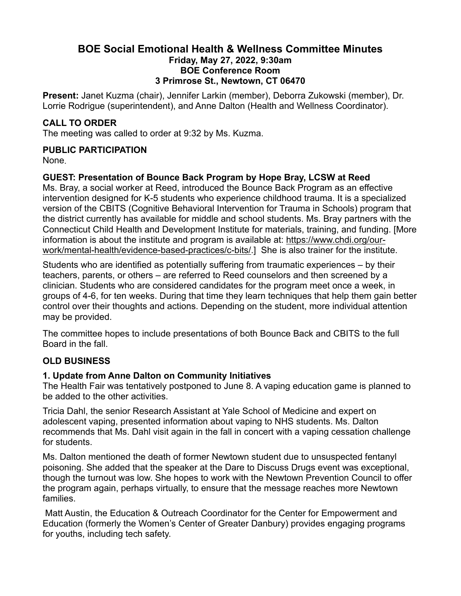## **BOE Social Emotional Health & Wellness Committee Minutes Friday, May 27, 2022, 9:30am BOE Conference Room 3 Primrose St., Newtown, CT 06470**

**Present:** Janet Kuzma (chair), Jennifer Larkin (member), Deborra Zukowski (member), Dr. Lorrie Rodrigue (superintendent), and Anne Dalton (Health and Wellness Coordinator).

## **CALL TO ORDER**

The meeting was called to order at 9:32 by Ms. Kuzma.

## **PUBLIC PARTICIPATION**

None.

# **GUEST: Presentation of Bounce Back Program by Hope Bray, LCSW at Reed**

Ms. Bray, a social worker at Reed, introduced the Bounce Back Program as an effective intervention designed for K-5 students who experience childhood trauma. It is a specialized version of the CBITS (Cognitive Behavioral Intervention for Trauma in Schools) program that the district currently has available for middle and school students. Ms. Bray partners with the Connecticut Child Health and Development Institute for materials, training, and funding. [More information is about the institute and program is available at: [https://www.chdi.org/our](https://www.chdi.org/our-work/mental-health/evidence-based-practices/c-bits/)[work/mental-health/evidence-based-practices/c-bits/](https://www.chdi.org/our-work/mental-health/evidence-based-practices/c-bits/).] She is also trainer for the institute.

Students who are identified as potentially suffering from traumatic experiences – by their teachers, parents, or others – are referred to Reed counselors and then screened by a clinician. Students who are considered candidates for the program meet once a week, in groups of 4-6, for ten weeks. During that time they learn techniques that help them gain better control over their thoughts and actions. Depending on the student, more individual attention may be provided.

The committee hopes to include presentations of both Bounce Back and CBITS to the full Board in the fall.

# **OLD BUSINESS**

#### **1. Update from Anne Dalton on Community Initiatives**

The Health Fair was tentatively postponed to June 8. A vaping education game is planned to be added to the other activities.

Tricia Dahl, the senior Research Assistant at Yale School of Medicine and expert on adolescent vaping, presented information about vaping to NHS students. Ms. Dalton recommends that Ms. Dahl visit again in the fall in concert with a vaping cessation challenge for students.

Ms. Dalton mentioned the death of former Newtown student due to unsuspected fentanyl poisoning. She added that the speaker at the Dare to Discuss Drugs event was exceptional, though the turnout was low. She hopes to work with the Newtown Prevention Council to offer the program again, perhaps virtually, to ensure that the message reaches more Newtown families.

 Matt Austin, the Education & Outreach Coordinator for the Center for Empowerment and Education (formerly the Women's Center of Greater Danbury) provides engaging programs for youths, including tech safety.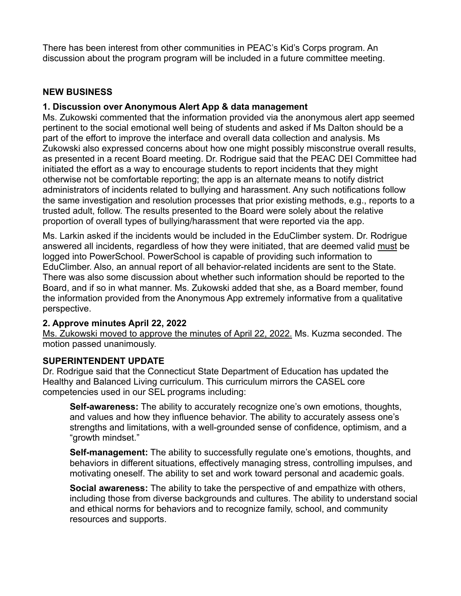There has been interest from other communities in PEAC's Kid's Corps program. An discussion about the program program will be included in a future committee meeting.

## **NEW BUSINESS**

### **1. Discussion over Anonymous Alert App & data management**

Ms. Zukowski commented that the information provided via the anonymous alert app seemed pertinent to the social emotional well being of students and asked if Ms Dalton should be a part of the effort to improve the interface and overall data collection and analysis. Ms Zukowski also expressed concerns about how one might possibly misconstrue overall results, as presented in a recent Board meeting. Dr. Rodrigue said that the PEAC DEI Committee had initiated the effort as a way to encourage students to report incidents that they might otherwise not be comfortable reporting; the app is an alternate means to notify district administrators of incidents related to bullying and harassment. Any such notifications follow the same investigation and resolution processes that prior existing methods, e.g., reports to a trusted adult, follow. The results presented to the Board were solely about the relative proportion of overall types of bullying/harassment that were reported via the app.

Ms. Larkin asked if the incidents would be included in the EduClimber system. Dr. Rodrigue answered all incidents, regardless of how they were initiated, that are deemed valid must be logged into PowerSchool. PowerSchool is capable of providing such information to EduClimber. Also, an annual report of all behavior-related incidents are sent to the State. There was also some discussion about whether such information should be reported to the Board, and if so in what manner. Ms. Zukowski added that she, as a Board member, found the information provided from the Anonymous App extremely informative from a qualitative perspective.

#### **2. Approve minutes April 22, 2022**

Ms. Zukowski moved to approve the minutes of April 22, 2022. Ms. Kuzma seconded. The motion passed unanimously.

#### **SUPERINTENDENT UPDATE**

Dr. Rodrigue said that the Connecticut State Department of Education has updated the Healthy and Balanced Living curriculum. This curriculum mirrors the CASEL core competencies used in our SEL programs including:

**Self-awareness:** The ability to accurately recognize one's own emotions, thoughts, and values and how they influence behavior. The ability to accurately assess one's strengths and limitations, with a well-grounded sense of confidence, optimism, and a "growth mindset."

**Self-management:** The ability to successfully regulate one's emotions, thoughts, and behaviors in different situations, effectively managing stress, controlling impulses, and motivating oneself. The ability to set and work toward personal and academic goals.

**Social awareness:** The ability to take the perspective of and empathize with others, including those from diverse backgrounds and cultures. The ability to understand social and ethical norms for behaviors and to recognize family, school, and community resources and supports.